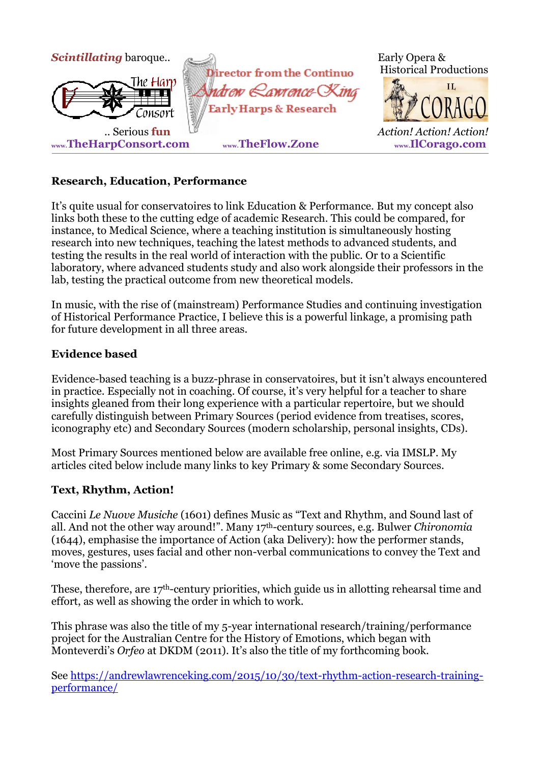

## **Research, Education, Performance**

It's quite usual for conservatoires to link Education & Performance. But my concept also links both these to the cutting edge of academic Research. This could be compared, for instance, to Medical Science, where a teaching institution is simultaneously hosting research into new techniques, teaching the latest methods to advanced students, and testing the results in the real world of interaction with the public. Or to a Scientific laboratory, where advanced students study and also work alongside their professors in the lab, testing the practical outcome from new theoretical models.

In music, with the rise of (mainstream) Performance Studies and continuing investigation of Historical Performance Practice, I believe this is a powerful linkage, a promising path for future development in all three areas.

#### **Evidence based**

Evidence-based teaching is a buzz-phrase in conservatoires, but it isn't always encountered in practice. Especially not in coaching. Of course, it's very helpful for a teacher to share insights gleaned from their long experience with a particular repertoire, but we should carefully distinguish between Primary Sources (period evidence from treatises, scores, iconography etc) and Secondary Sources (modern scholarship, personal insights, CDs).

Most Primary Sources mentioned below are available free online, e.g. via IMSLP. My articles cited below include many links to key Primary & some Secondary Sources.

#### **Text, Rhythm, Action!**

Caccini *Le Nuove Musiche* (1601) defines Music as "Text and Rhythm, and Sound last of all. And not the other way around!". Many 17th-century sources, e.g. Bulwer *Chironomia* (1644), emphasise the importance of Action (aka Delivery): how the performer stands, moves, gestures, uses facial and other non-verbal communications to convey the Text and 'move the passions'.

These, therefore, are 17th-century priorities, which guide us in allotting rehearsal time and effort, as well as showing the order in which to work.

This phrase was also the title of my 5-year international research/training/performance project for the Australian Centre for the History of Emotions, which began with Monteverdi's *Orfeo* at DKDM (2011). It's also the title of my forthcoming book.

See [https://andrewlawrenceking.com/2015/10/30/text-rhythm-action-research-training](https://andrewlawrenceking.com/2015/10/30/text-rhythm-action-research-training-performance/)[performance/](https://andrewlawrenceking.com/2015/10/30/text-rhythm-action-research-training-performance/)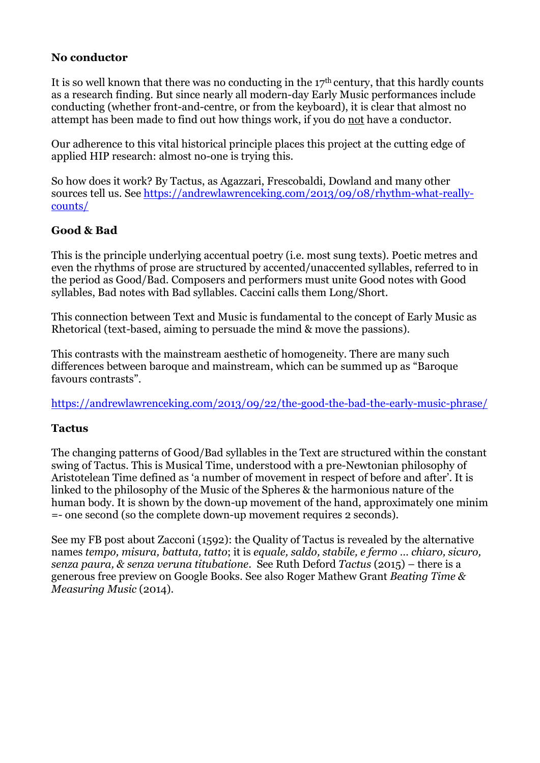## **No conductor**

It is so well known that there was no conducting in the  $17<sup>th</sup>$  century, that this hardly counts as a research finding. But since nearly all modern-day Early Music performances include conducting (whether front-and-centre, or from the keyboard), it is clear that almost no attempt has been made to find out how things work, if you do not have a conductor.

Our adherence to this vital historical principle places this project at the cutting edge of applied HIP research: almost no-one is trying this.

So how does it work? By Tactus, as Agazzari, Frescobaldi, Dowland and many other sources tell us. See [https://andrewlawrenceking.com/2013/09/08/rhythm-what-really](https://andrewlawrenceking.com/2013/09/08/rhythm-what-really-counts/)[counts/](https://andrewlawrenceking.com/2013/09/08/rhythm-what-really-counts/)

# **Good & Bad**

This is the principle underlying accentual poetry (i.e. most sung texts). Poetic metres and even the rhythms of prose are structured by accented/unaccented syllables, referred to in the period as Good/Bad. Composers and performers must unite Good notes with Good syllables, Bad notes with Bad syllables. Caccini calls them Long/Short.

This connection between Text and Music is fundamental to the concept of Early Music as Rhetorical (text-based, aiming to persuade the mind & move the passions).

This contrasts with the mainstream aesthetic of homogeneity. There are many such differences between baroque and mainstream, which can be summed up as "Baroque favours contrasts".

<https://andrewlawrenceking.com/2013/09/22/the-good-the-bad-the-early-music-phrase/>

#### **Tactus**

The changing patterns of Good/Bad syllables in the Text are structured within the constant swing of Tactus. This is Musical Time, understood with a pre-Newtonian philosophy of Aristotelean Time defined as 'a number of movement in respect of before and after'. It is linked to the philosophy of the Music of the Spheres & the harmonious nature of the human body. It is shown by the down-up movement of the hand, approximately one minim =- one second (so the complete down-up movement requires 2 seconds).

See my FB post about Zacconi (1592): the Quality of Tactus is revealed by the alternative names *tempo, misura, battuta, tatto*; it is *equale, saldo, stabile, e fermo … chiaro, sicuro, senza paura, & senza veruna titubatione*. See Ruth Deford *Tactus* (2015) – there is a generous free preview on Google Books. See also Roger Mathew Grant *Beating Time & Measuring Music* (2014).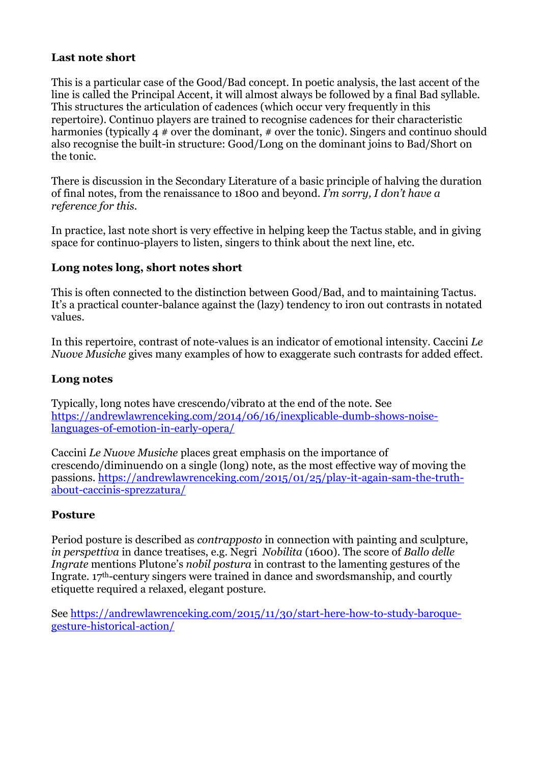# **Last note short**

This is a particular case of the Good/Bad concept. In poetic analysis, the last accent of the line is called the Principal Accent, it will almost always be followed by a final Bad syllable. This structures the articulation of cadences (which occur very frequently in this repertoire). Continuo players are trained to recognise cadences for their characteristic harmonies (typically 4 # over the dominant, # over the tonic). Singers and continuo should also recognise the built-in structure: Good/Long on the dominant joins to Bad/Short on the tonic.

There is discussion in the Secondary Literature of a basic principle of halving the duration of final notes, from the renaissance to 1800 and beyond. *I'm sorry, I don't have a reference for this.*

In practice, last note short is very effective in helping keep the Tactus stable, and in giving space for continuo-players to listen, singers to think about the next line, etc.

#### **Long notes long, short notes short**

This is often connected to the distinction between Good/Bad, and to maintaining Tactus. It's a practical counter-balance against the (lazy) tendency to iron out contrasts in notated values.

In this repertoire, contrast of note-values is an indicator of emotional intensity. Caccini *Le Nuove Musiche* gives many examples of how to exaggerate such contrasts for added effect.

#### **Long notes**

Typically, long notes have crescendo/vibrato at the end of the note. See [https://andrewlawrenceking.com/2014/06/16/inexplicable-dumb-shows-noise](https://andrewlawrenceking.com/2014/06/16/inexplicable-dumb-shows-noise-languages-of-emotion-in-early-opera/)[languages-of-emotion-in-early-opera/](https://andrewlawrenceking.com/2014/06/16/inexplicable-dumb-shows-noise-languages-of-emotion-in-early-opera/)

Caccini *Le Nuove Musiche* places great emphasis on the importance of crescendo/diminuendo on a single (long) note, as the most effective way of moving the passions. [https://andrewlawrenceking.com/2015/01/25/play-it-again-sam-the-truth](https://andrewlawrenceking.com/2015/01/25/play-it-again-sam-the-truth-about-caccinis-sprezzatura/)[about-caccinis-sprezzatura/](https://andrewlawrenceking.com/2015/01/25/play-it-again-sam-the-truth-about-caccinis-sprezzatura/)

#### **Posture**

Period posture is described as *contrapposto* in connection with painting and sculpture, *in perspettiva* in dance treatises, e.g. Negri *Nobilita* (1600). The score of *Ballo delle Ingrate* mentions Plutone's *nobil postura* in contrast to the lamenting gestures of the Ingrate. 17th-century singers were trained in dance and swordsmanship, and courtly etiquette required a relaxed, elegant posture.

See [https://andrewlawrenceking.com/2015/11/30/start-here-how-to-study-baroque](https://andrewlawrenceking.com/2015/11/30/start-here-how-to-study-baroque-gesture-historical-action/)[gesture-historical-action/](https://andrewlawrenceking.com/2015/11/30/start-here-how-to-study-baroque-gesture-historical-action/)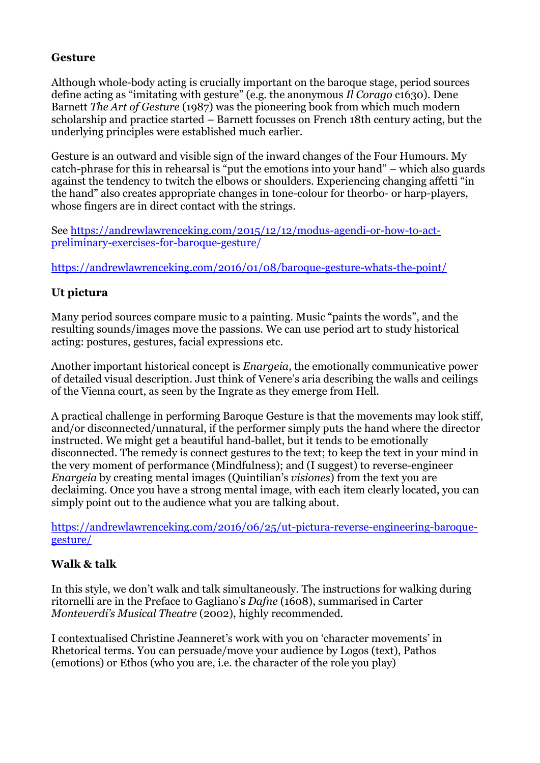## **Gesture**

Although whole-body acting is crucially important on the baroque stage, period sources define acting as "imitating with gesture" (e.g. the anonymous *Il Corago* c1630). Dene Barnett *The Art of Gesture* (1987) was the pioneering book from which much modern scholarship and practice started – Barnett focusses on French 18th century acting, but the underlying principles were established much earlier.

Gesture is an outward and visible sign of the inward changes of the Four Humours. My catch-phrase for this in rehearsal is "put the emotions into your hand" – which also guards against the tendency to twitch the elbows or shoulders. Experiencing changing affetti "in the hand" also creates appropriate changes in tone-colour for theorbo- or harp-players, whose fingers are in direct contact with the strings.

See [https://andrewlawrenceking.com/2015/12/12/modus-agendi-or-how-to-act](https://andrewlawrenceking.com/2015/12/12/modus-agendi-or-how-to-act-preliminary-exercises-for-baroque-gesture/)[preliminary-exercises-for-baroque-gesture/](https://andrewlawrenceking.com/2015/12/12/modus-agendi-or-how-to-act-preliminary-exercises-for-baroque-gesture/)

<https://andrewlawrenceking.com/2016/01/08/baroque-gesture-whats-the-point/>

# **Ut pictura**

Many period sources compare music to a painting. Music "paints the words", and the resulting sounds/images move the passions. We can use period art to study historical acting: postures, gestures, facial expressions etc.

Another important historical concept is *Enargeia*, the emotionally communicative power of detailed visual description. Just think of Venere's aria describing the walls and ceilings of the Vienna court, as seen by the Ingrate as they emerge from Hell.

A practical challenge in performing Baroque Gesture is that the movements may look stiff, and/or disconnected/unnatural, if the performer simply puts the hand where the director instructed. We might get a beautiful hand-ballet, but it tends to be emotionally disconnected. The remedy is connect gestures to the text; to keep the text in your mind in the very moment of performance (Mindfulness); and (I suggest) to reverse-engineer *Enargeia* by creating mental images (Quintilian's *visiones*) from the text you are declaiming. Once you have a strong mental image, with each item clearly located, you can simply point out to the audience what you are talking about.

[https://andrewlawrenceking.com/2016/06/25/ut-pictura-reverse-engineering-baroque](https://andrewlawrenceking.com/2016/06/25/ut-pictura-reverse-engineering-baroque-gesture/)[gesture/](https://andrewlawrenceking.com/2016/06/25/ut-pictura-reverse-engineering-baroque-gesture/)

# **Walk & talk**

In this style, we don't walk and talk simultaneously. The instructions for walking during ritornelli are in the Preface to Gagliano's *Dafne* (1608), summarised in Carter *Monteverdi's Musical Theatre* (2002), highly recommended.

I contextualised Christine Jeanneret's work with you on 'character movements' in Rhetorical terms. You can persuade/move your audience by Logos (text), Pathos (emotions) or Ethos (who you are, i.e. the character of the role you play)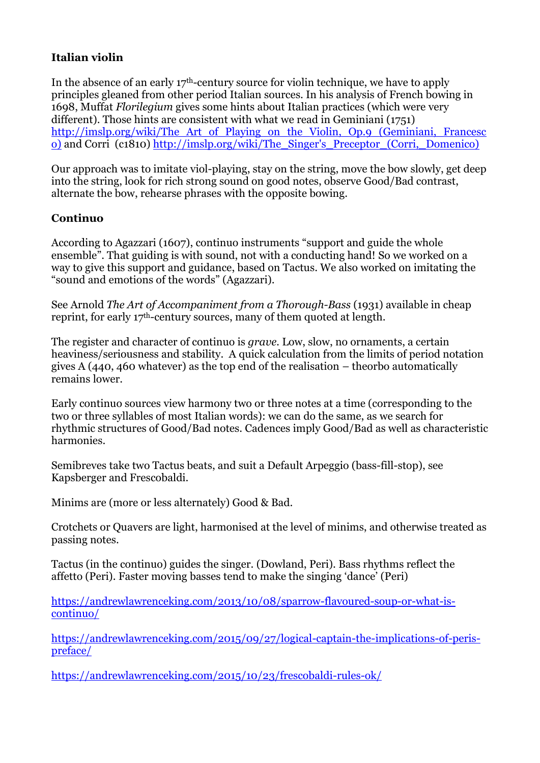# **Italian violin**

In the absence of an early 17th-century source for violin technique, we have to apply principles gleaned from other period Italian sources. In his analysis of French bowing in 1698, Muffat *Florilegium* gives some hints about Italian practices (which were very different). Those hints are consistent with what we read in Geminiani (1751) http://imslp.org/wiki/The Art of Playing on the Violin, Op.9 (Geminiani, Francesc [o\)](http://imslp.org/wiki/The_Art_of_Playing_on_the_Violin,_Op.9_(Geminiani,_Francesco)) and Corri (c1810) [http://imslp.org/wiki/The\\_Singer's\\_Preceptor\\_\(Corri,\\_Domenico\)](http://imslp.org/wiki/The_Singer)

Our approach was to imitate viol-playing, stay on the string, move the bow slowly, get deep into the string, look for rich strong sound on good notes, observe Good/Bad contrast, alternate the bow, rehearse phrases with the opposite bowing.

# **Continuo**

According to Agazzari (1607), continuo instruments "support and guide the whole ensemble". That guiding is with sound, not with a conducting hand! So we worked on a way to give this support and guidance, based on Tactus. We also worked on imitating the "sound and emotions of the words" (Agazzari).

See Arnold *The Art of Accompaniment from a Thorough-Bass* (1931) available in cheap reprint, for early 17th-century sources, many of them quoted at length.

The register and character of continuo is *grave.* Low, slow, no ornaments, a certain heaviness/seriousness and stability. A quick calculation from the limits of period notation gives A (440, 460 whatever) as the top end of the realisation – theorbo automatically remains lower.

Early continuo sources view harmony two or three notes at a time (corresponding to the two or three syllables of most Italian words): we can do the same, as we search for rhythmic structures of Good/Bad notes. Cadences imply Good/Bad as well as characteristic harmonies.

Semibreves take two Tactus beats, and suit a Default Arpeggio (bass-fill-stop), see Kapsberger and Frescobaldi.

Minims are (more or less alternately) Good & Bad.

Crotchets or Quavers are light, harmonised at the level of minims, and otherwise treated as passing notes.

Tactus (in the continuo) guides the singer. (Dowland, Peri). Bass rhythms reflect the affetto (Peri). Faster moving basses tend to make the singing 'dance' (Peri)

[https://andrewlawrenceking.com/2013/10/08/sparrow-flavoured-soup-or-what-is](https://andrewlawrenceking.com/2013/10/08/sparrow-flavoured-soup-or-what-is-continuo/)[continuo/](https://andrewlawrenceking.com/2013/10/08/sparrow-flavoured-soup-or-what-is-continuo/)

[https://andrewlawrenceking.com/2015/09/27/logical-captain-the-implications-of-peris](https://andrewlawrenceking.com/2015/09/27/logical-captain-the-implications-of-peris-preface/)[preface/](https://andrewlawrenceking.com/2015/09/27/logical-captain-the-implications-of-peris-preface/)

<https://andrewlawrenceking.com/2015/10/23/frescobaldi-rules-ok/>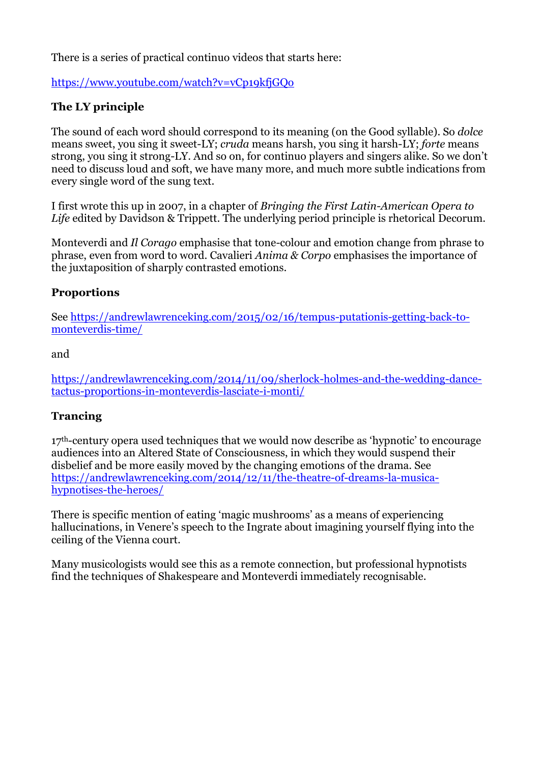There is a series of practical continuo videos that starts here:

# <https://www.youtube.com/watch?v=vCp19kfjGQo>

# **The LY principle**

The sound of each word should correspond to its meaning (on the Good syllable). So *dolce* means sweet, you sing it sweet-LY; *cruda* means harsh, you sing it harsh-LY; *forte* means strong, you sing it strong-LY. And so on, for continuo players and singers alike. So we don't need to discuss loud and soft, we have many more, and much more subtle indications from every single word of the sung text.

I first wrote this up in 2007, in a chapter of *Bringing the First Latin-American Opera to Life* edited by Davidson & Trippett. The underlying period principle is rhetorical Decorum.

Monteverdi and *Il Corago* emphasise that tone-colour and emotion change from phrase to phrase, even from word to word. Cavalieri *Anima & Corpo* emphasises the importance of the juxtaposition of sharply contrasted emotions.

#### **Proportions**

See [https://andrewlawrenceking.com/2015/02/16/tempus-putationis-getting-back-to](https://andrewlawrenceking.com/2015/02/16/tempus-putationis-getting-back-to-monteverdis-time/)[monteverdis-time/](https://andrewlawrenceking.com/2015/02/16/tempus-putationis-getting-back-to-monteverdis-time/)

and

[https://andrewlawrenceking.com/2014/11/09/sherlock-holmes-and-the-wedding-dance](https://andrewlawrenceking.com/2014/11/09/sherlock-holmes-and-the-wedding-dance-tactus-proportions-in-monteverdis-lasciate-i-monti/)[tactus-proportions-in-monteverdis-lasciate-i-monti/](https://andrewlawrenceking.com/2014/11/09/sherlock-holmes-and-the-wedding-dance-tactus-proportions-in-monteverdis-lasciate-i-monti/)

# **Trancing**

17<sup>th</sup>-century opera used techniques that we would now describe as 'hypnotic' to encourage audiences into an Altered State of Consciousness, in which they would suspend their disbelief and be more easily moved by the changing emotions of the drama. See [https://andrewlawrenceking.com/2014/12/11/the-theatre-of-dreams-la-musica](https://andrewlawrenceking.com/2014/12/11/the-theatre-of-dreams-la-musica-hypnotises-the-heroes/)[hypnotises-the-heroes/](https://andrewlawrenceking.com/2014/12/11/the-theatre-of-dreams-la-musica-hypnotises-the-heroes/)

There is specific mention of eating 'magic mushrooms' as a means of experiencing hallucinations, in Venere's speech to the Ingrate about imagining yourself flying into the ceiling of the Vienna court.

Many musicologists would see this as a remote connection, but professional hypnotists find the techniques of Shakespeare and Monteverdi immediately recognisable.